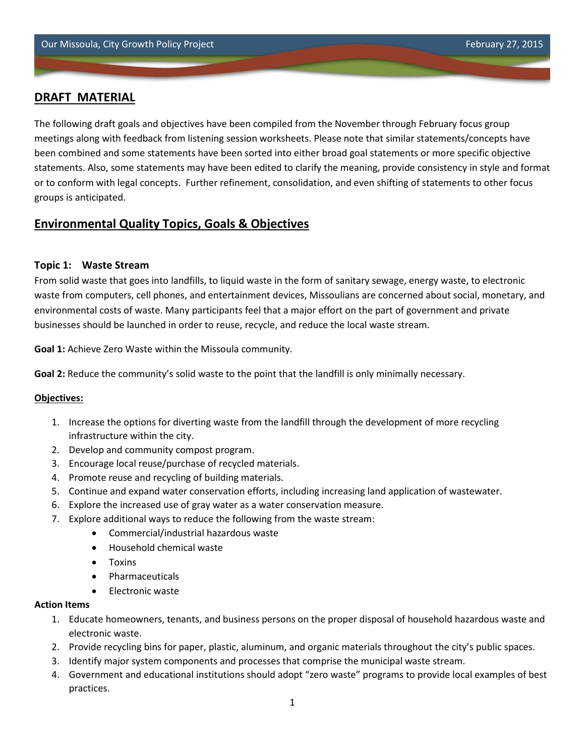# **DRAFT MATERIAL**

The following draft goals and objectives have been compiled from the November through February focus group meetings along with feedback from listening session worksheets. Please note that similar statements/concepts have been combined and some statements have been sorted into either broad goal statements or more specific objective statements. Also, some statements may have been edited to clarify the meaning, provide consistency in style and format or to conform with legal concepts. Further refinement, consolidation, and even shifting of statements to other focus groups is anticipated.

# **Environmental Quality Topics, Goals & Objectives**

### **Topic 1: Waste Stream**

From solid waste that goes into landfills, to liquid waste in the form of sanitary sewage, energy waste, to electronic waste from computers, cell phones, and entertainment devices, Missoulians are concerned about social, monetary, and environmental costs of waste. Many participants feel that a major effort on the part of government and private businesses should be launched in order to reuse, recycle, and reduce the local waste stream.

**Goal 1:** Achieve Zero Waste within the Missoula community.

**Goal 2:** Reduce the community's solid waste to the point that the landfill is only minimally necessary.

#### **Objectives:**

- 1. Increase the options for diverting waste from the landfill through the development of more recycling infrastructure within the city.
- 2. Develop and community compost program.
- 3. Encourage local reuse/purchase of recycled materials.
- 4. Promote reuse and recycling of building materials.
- 5. Continue and expand water conservation efforts, including increasing land application of wastewater.
- 6. Explore the increased use of gray water as a water conservation measure.
- 7. Explore additional ways to reduce the following from the waste stream:
	- Commercial/industrial hazardous waste
	- Household chemical waste
	- Toxins
	- Pharmaceuticals
	- Electronic waste

#### **Action Items**

- 1. Educate homeowners, tenants, and business persons on the proper disposal of household hazardous waste and electronic waste.
- 2. Provide recycling bins for paper, plastic, aluminum, and organic materials throughout the city's public spaces.
- 3. Identify major system components and processes that comprise the municipal waste stream.
- 4. Government and educational institutions should adopt "zero waste" programs to provide local examples of best practices.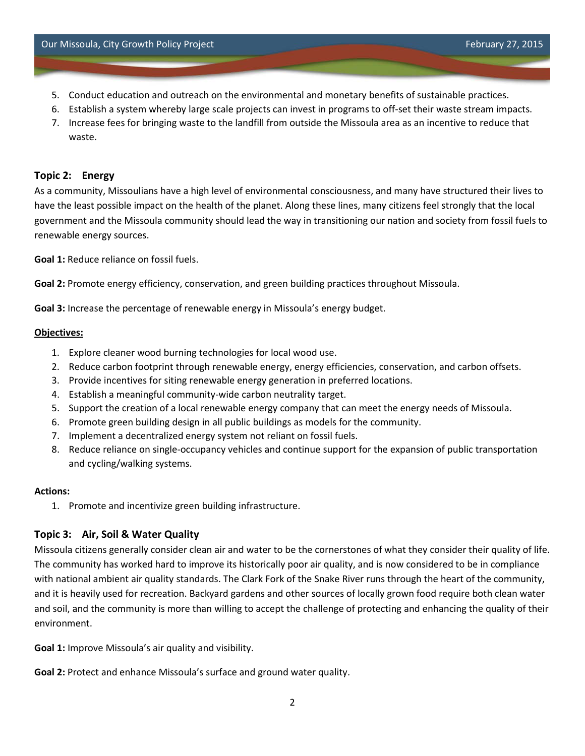- 5. Conduct education and outreach on the environmental and monetary benefits of sustainable practices.
- 6. Establish a system whereby large scale projects can invest in programs to off-set their waste stream impacts.
- 7. Increase fees for bringing waste to the landfill from outside the Missoula area as an incentive to reduce that waste.

# **Topic 2: Energy**

As a community, Missoulians have a high level of environmental consciousness, and many have structured their lives to have the least possible impact on the health of the planet. Along these lines, many citizens feel strongly that the local government and the Missoula community should lead the way in transitioning our nation and society from fossil fuels to renewable energy sources.

**Goal 1:** Reduce reliance on fossil fuels.

**Goal 2:** Promote energy efficiency, conservation, and green building practices throughout Missoula.

**Goal 3:** Increase the percentage of renewable energy in Missoula's energy budget.

#### **Objectives:**

- 1. Explore cleaner wood burning technologies for local wood use.
- 2. Reduce carbon footprint through renewable energy, energy efficiencies, conservation, and carbon offsets.
- 3. Provide incentives for siting renewable energy generation in preferred locations.
- 4. Establish a meaningful community-wide carbon neutrality target.
- 5. Support the creation of a local renewable energy company that can meet the energy needs of Missoula.
- 6. Promote green building design in all public buildings as models for the community.
- 7. Implement a decentralized energy system not reliant on fossil fuels.
- 8. Reduce reliance on single-occupancy vehicles and continue support for the expansion of public transportation and cycling/walking systems.

#### **Actions:**

1. Promote and incentivize green building infrastructure.

# **Topic 3: Air, Soil & Water Quality**

Missoula citizens generally consider clean air and water to be the cornerstones of what they consider their quality of life. The community has worked hard to improve its historically poor air quality, and is now considered to be in compliance with national ambient air quality standards. The Clark Fork of the Snake River runs through the heart of the community, and it is heavily used for recreation. Backyard gardens and other sources of locally grown food require both clean water and soil, and the community is more than willing to accept the challenge of protecting and enhancing the quality of their environment.

**Goal 1:** Improve Missoula's air quality and visibility.

**Goal 2:** Protect and enhance Missoula's surface and ground water quality.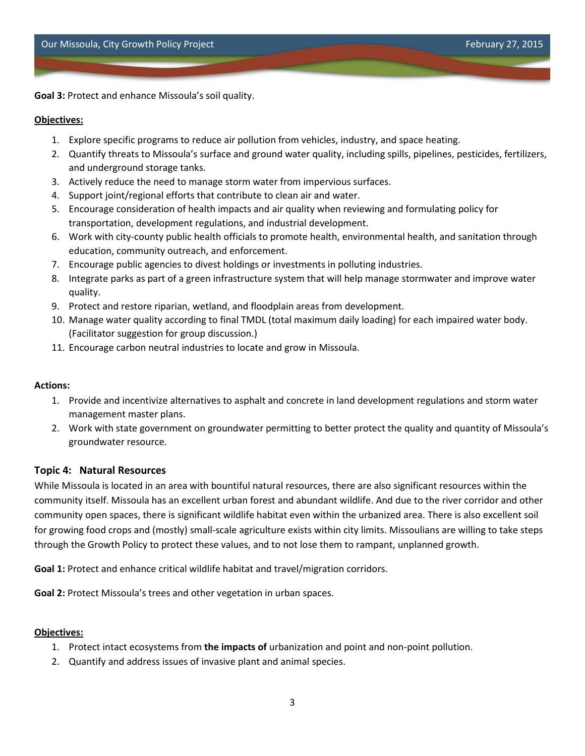**Goal 3:** Protect and enhance Missoula's soil quality.

### **Objectives:**

- 1. Explore specific programs to reduce air pollution from vehicles, industry, and space heating.
- 2. Quantify threats to Missoula's surface and ground water quality, including spills, pipelines, pesticides, fertilizers, and underground storage tanks.
- 3. Actively reduce the need to manage storm water from impervious surfaces.
- 4. Support joint/regional efforts that contribute to clean air and water.
- 5. Encourage consideration of health impacts and air quality when reviewing and formulating policy for transportation, development regulations, and industrial development.
- 6. Work with city-county public health officials to promote health, environmental health, and sanitation through education, community outreach, and enforcement.
- 7. Encourage public agencies to divest holdings or investments in polluting industries.
- 8. Integrate parks as part of a green infrastructure system that will help manage stormwater and improve water quality.
- 9. Protect and restore riparian, wetland, and floodplain areas from development.
- 10. Manage water quality according to final TMDL (total maximum daily loading) for each impaired water body. (Facilitator suggestion for group discussion.)
- 11. Encourage carbon neutral industries to locate and grow in Missoula.

# **Actions:**

- 1. Provide and incentivize alternatives to asphalt and concrete in land development regulations and storm water management master plans.
- 2. Work with state government on groundwater permitting to better protect the quality and quantity of Missoula's groundwater resource.

# **Topic 4: Natural Resources**

While Missoula is located in an area with bountiful natural resources, there are also significant resources within the community itself. Missoula has an excellent urban forest and abundant wildlife. And due to the river corridor and other community open spaces, there is significant wildlife habitat even within the urbanized area. There is also excellent soil for growing food crops and (mostly) small-scale agriculture exists within city limits. Missoulians are willing to take steps through the Growth Policy to protect these values, and to not lose them to rampant, unplanned growth.

**Goal 1:** Protect and enhance critical wildlife habitat and travel/migration corridors.

**Goal 2:** Protect Missoula's trees and other vegetation in urban spaces.

# **Objectives:**

- 1. Protect intact ecosystems from **the impacts of** urbanization and point and non-point pollution.
- 2. Quantify and address issues of invasive plant and animal species.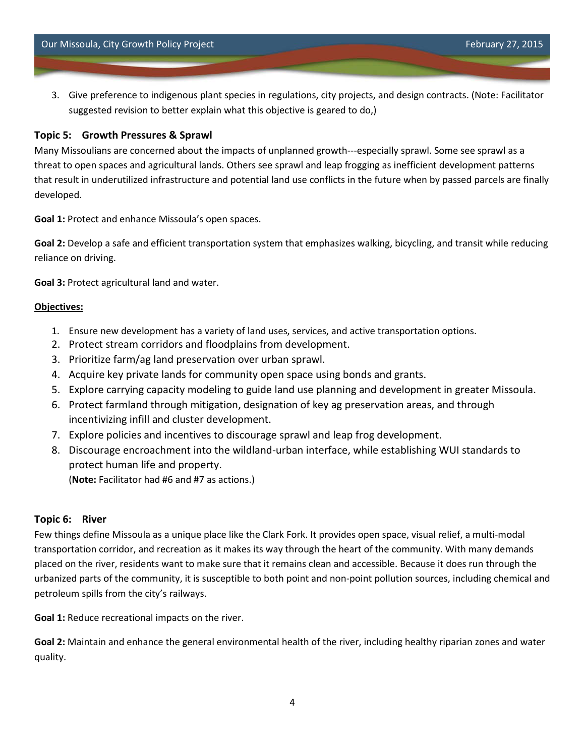3. Give preference to indigenous plant species in regulations, city projects, and design contracts. (Note: Facilitator suggested revision to better explain what this objective is geared to do,)

### **Topic 5: Growth Pressures & Sprawl**

Many Missoulians are concerned about the impacts of unplanned growth---especially sprawl. Some see sprawl as a threat to open spaces and agricultural lands. Others see sprawl and leap frogging as inefficient development patterns that result in underutilized infrastructure and potential land use conflicts in the future when by passed parcels are finally developed.

**Goal 1:** Protect and enhance Missoula's open spaces.

**Goal 2:** Develop a safe and efficient transportation system that emphasizes walking, bicycling, and transit while reducing reliance on driving.

**Goal 3:** Protect agricultural land and water.

### **Objectives:**

- 1. Ensure new development has a variety of land uses, services, and active transportation options.
- 2. Protect stream corridors and floodplains from development.
- 3. Prioritize farm/ag land preservation over urban sprawl.
- 4. Acquire key private lands for community open space using bonds and grants.
- 5. Explore carrying capacity modeling to guide land use planning and development in greater Missoula.
- 6. Protect farmland through mitigation, designation of key ag preservation areas, and through incentivizing infill and cluster development.
- 7. Explore policies and incentives to discourage sprawl and leap frog development.
- 8. Discourage encroachment into the wildland-urban interface, while establishing WUI standards to protect human life and property.

(**Note:** Facilitator had #6 and #7 as actions.)

# **Topic 6: River**

Few things define Missoula as a unique place like the Clark Fork. It provides open space, visual relief, a multi-modal transportation corridor, and recreation as it makes its way through the heart of the community. With many demands placed on the river, residents want to make sure that it remains clean and accessible. Because it does run through the urbanized parts of the community, it is susceptible to both point and non-point pollution sources, including chemical and petroleum spills from the city's railways.

**Goal 1:** Reduce recreational impacts on the river.

**Goal 2:** Maintain and enhance the general environmental health of the river, including healthy riparian zones and water quality.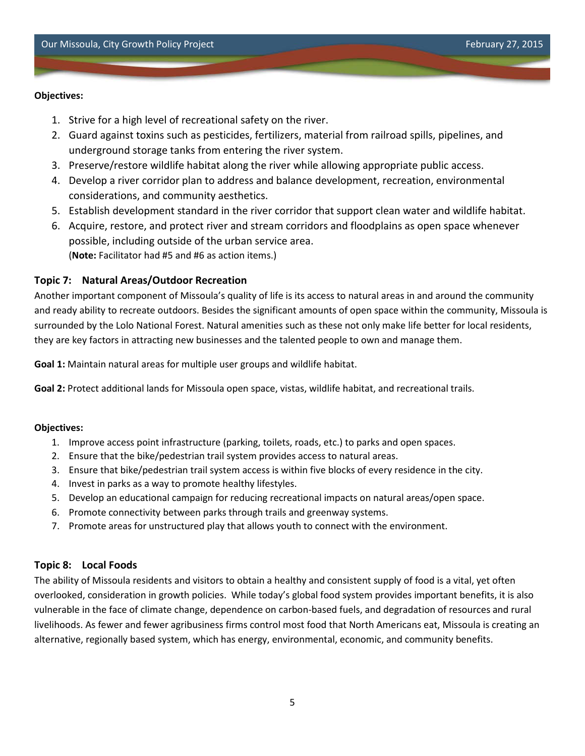### **Objectives:**

- 1. Strive for a high level of recreational safety on the river.
- 2. Guard against toxins such as pesticides, fertilizers, material from railroad spills, pipelines, and underground storage tanks from entering the river system.
- 3. Preserve/restore wildlife habitat along the river while allowing appropriate public access.
- 4. Develop a river corridor plan to address and balance development, recreation, environmental considerations, and community aesthetics.
- 5. Establish development standard in the river corridor that support clean water and wildlife habitat.
- 6. Acquire, restore, and protect river and stream corridors and floodplains as open space whenever possible, including outside of the urban service area. (**Note:** Facilitator had #5 and #6 as action items.)

# **Topic 7: Natural Areas/Outdoor Recreation**

Another important component of Missoula's quality of life is its access to natural areas in and around the community and ready ability to recreate outdoors. Besides the significant amounts of open space within the community, Missoula is surrounded by the Lolo National Forest. Natural amenities such as these not only make life better for local residents, they are key factors in attracting new businesses and the talented people to own and manage them.

**Goal 1:** Maintain natural areas for multiple user groups and wildlife habitat.

**Goal 2:** Protect additional lands for Missoula open space, vistas, wildlife habitat, and recreational trails.

#### **Objectives:**

- 1. Improve access point infrastructure (parking, toilets, roads, etc.) to parks and open spaces.
- 2. Ensure that the bike/pedestrian trail system provides access to natural areas.
- 3. Ensure that bike/pedestrian trail system access is within five blocks of every residence in the city.
- 4. Invest in parks as a way to promote healthy lifestyles.
- 5. Develop an educational campaign for reducing recreational impacts on natural areas/open space.
- 6. Promote connectivity between parks through trails and greenway systems.
- 7. Promote areas for unstructured play that allows youth to connect with the environment.

# **Topic 8: Local Foods**

The ability of Missoula residents and visitors to obtain a healthy and consistent supply of food is a vital, yet often overlooked, consideration in growth policies. While today's global food system provides important benefits, it is also vulnerable in the face of climate change, dependence on carbon-based fuels, and degradation of resources and rural livelihoods. As fewer and fewer agribusiness firms control most food that North Americans eat, Missoula is creating an alternative, regionally based system, which has energy, environmental, economic, and community benefits.